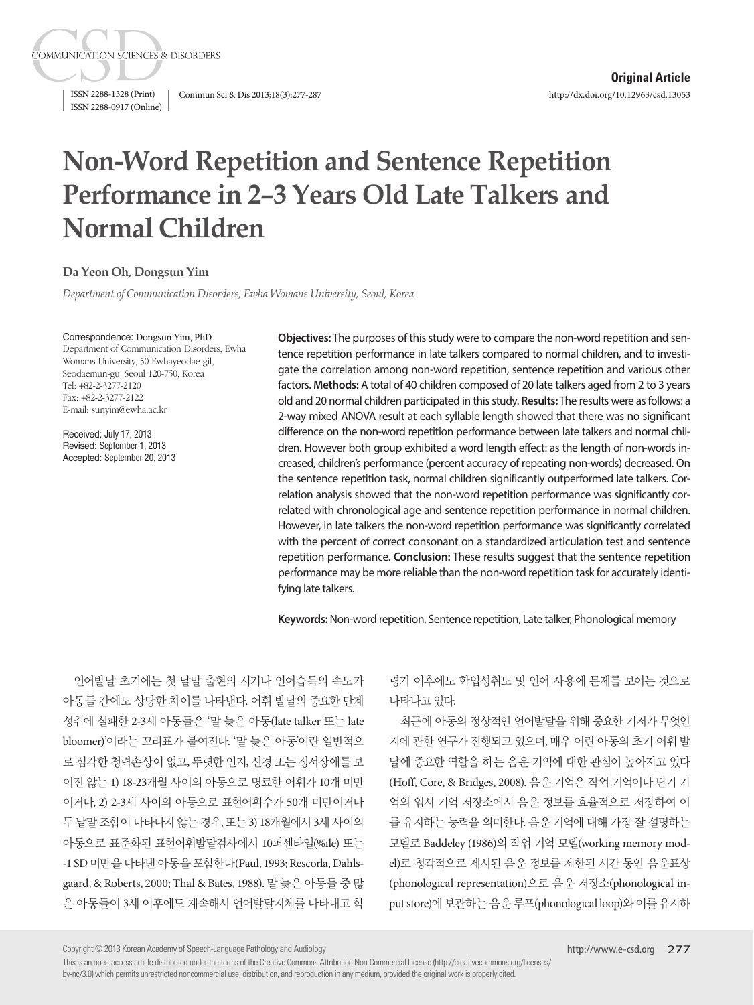ISSN 2288-0917 (Online)

**COMMUNICATION SCIENCES & DISORDERS** 

ISSN 2288-1328 (Print) Commun Sci & Dis 2013;18(3):277-287

# **Non-Word Repetition and Sentence Repetition Performance in 2–3 Years Old Late Talkers and Normal Children**

#### **Da Yeon Oh, Dongsun Yim**

*Department of Communication Disorders, Ewha Womans University, Seoul, Korea*

#### Correspondence: Dongsun Yim, PhD

Department of Communication Disorders, Ewha Womans University, 50 Ewhayeodae-gil, Seodaemun-gu, Seoul 120-750, Korea Tel: +82-2-3277-2120 Fax: +82-2-3277-2122 E-mail: sunyim@ewha.ac.kr

Received: July 17, 2013 Revised: September 1, 2013 Accepted: September 20, 2013

**Objectives:** The purposes of this study were to compare the non-word repetition and sentence repetition performance in late talkers compared to normal children, and to investigate the correlation among non-word repetition, sentence repetition and various other factors. **Methods:** A total of 40 children composed of 20 late talkers aged from 2 to 3 years old and 20 normal children participated in this study. **Results:** The results were as follows: a 2-way mixed ANOVA result at each syllable length showed that there was no significant difference on the non-word repetition performance between late talkers and normal children. However both group exhibited a word length effect: as the length of non-words increased, children's performance (percent accuracy of repeating non-words) decreased. On the sentence repetition task, normal children significantly outperformed late talkers. Correlation analysis showed that the non-word repetition performance was significantly correlated with chronological age and sentence repetition performance in normal children. However, in late talkers the non-word repetition performance was significantly correlated with the percent of correct consonant on a standardized articulation test and sentence repetition performance. **Conclusion:** These results suggest that the sentence repetition performance may be more reliable than the non-word repetition task for accurately identifying late talkers.

**Keywords:** Non-word repetition, Sentence repetition, Late talker, Phonological memory

언어발달 초기에는 첫 낱말 출현의 시기나 언어습득의 속도가 아동들 간에도 상당한 차이를 나타낸다. 어휘 발달의 중요한 단계 성취에 실패한 2-3세 아동들은 '말 늦은 아동(late talker 또는 late bloomer)'이라는 꼬리표가 붙여진다. '말 늦은 아동'이란 일반적으 로 심각한 청력손상이 없고, 뚜렷한 인지, 신경 또는 정서장애를 보 이진 않는 1) 18-23개월 사이의 아동으로 명료한 어휘가 10개 미만 이거나, 2) 2-3세 사이의 아동으로 표현어휘수가 50개 미만이거나 두 낱말 조합이 나타나지 않는 경우, 또는 3) 18개월에서 3세 사이의 아동으로 표준화된 표현어휘발달검사에서 10퍼센타일(%ile) 또는 -1 SD 미만을나타낸아동을포함한다(Paul, 1993; Rescorla, Dahlsgaard, & Roberts, 2000; Thal & Bates, 1988). 말 늦은 아동들 중 많 은 아동들이 3세 이후에도 계속해서 언어발달지체를 나타내고 학

령기 이후에도 학업성취도 및 언어 사용에 문제를 보이는 것으로 나타나고있다.

최근에 아동의 정상적인 언어발달을 위해 중요한 기저가 무엇인 지에 관한 연구가 진행되고 있으며, 매우 어린 아동의 초기 어휘 발 달에 중요한 역할을 하는 음운 기억에 대한 관심이 높아지고 있다 (Hoff, Core, & Bridges, 2008). 음운 기억은 작업 기억이나 단기 기 억의 임시 기억 저장소에서 음운 정보를 효율적으로 저장하여 이 를 유지하는 능력을 의미한다. 음운 기억에 대해 가장 잘 설명하는 모델로 Baddeley (1986)의 작업 기억 모델(working memory model)로 청각적으로 제시된 음운 정보를 제한된 시간 동안 음운표상 (phonological representation)으로 음운 저장소(phonological input store)에보관하는음운루프(phonological loop)와이를유지하

Copyright © 2013 Korean Academy of Speech-Language Pathology and Audiology

This is an open-access article distributed under the terms of the Creative Commons Attribution Non-Commercial License (http://creativecommons.org/licenses/ by-nc/3.0) which permits unrestricted noncommercial use, distribution, and reproduction in any medium, provided the original work is properly cited.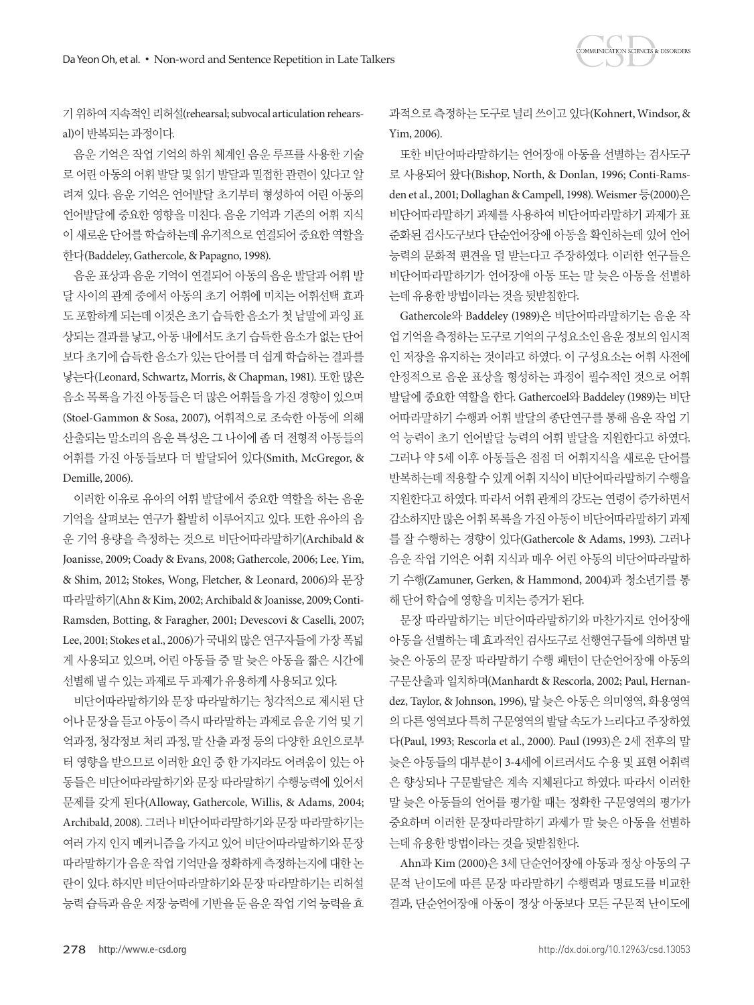기 위하여 지속적인 리허설(rehearsal; subvocal articulation rehearsal)이반복되는과정이다.

음운 기억은 작업 기억의 하위 체계인 음운 루프를 사용한 기술 로 어린 아동의 어휘 발달 및 읽기 발달과 밀접한 관련이 있다고 알 려져 있다. 음운 기억은 언어발달 초기부터 형성하여 어린 아동의 언어발달에 중요한 영향을 미친다. 음운 기억과 기존의 어휘 지식 이 새로운 단어를 학습하는데 유기적으로 연결되어 중요한 역할을 한다(Baddeley, Gathercole, & Papagno, 1998).

음운 표상과 음운 기억이 연결되어 아동의 음운 발달과 어휘 발 달 사이의 관계 중에서 아동의 초기 어휘에 미치는 어휘선택 효과 도 포함하게 되는데 이것은 초기 습득한 음소가 첫 낱말에 과잉 표 상되는 결과를 낳고, 아동 내에서도 초기 습득한 음소가 없는 단어 보다 초기에 습득한 음소가 있는 단어를 더 쉽게 학습하는 결과를 낳는다(Leonard, Schwartz, Morris, & Chapman, 1981). 또한 많은 음소 목록을 가진 아동들은 더 많은 어휘들을 가진 경향이 있으며 (Stoel-Gammon & Sosa, 2007), 어휘적으로 조숙한 아동에 의해 산출되는 말소리의 음운 특성은 그 나이에 좀 더 전형적 아동들의 어휘를 가진 아동들보다 더 발달되어 있다(Smith, McGregor, & Demille, 2006).

이러한 이유로 유아의 어휘 발달에서 중요한 역할을 하는 음운 기억을 살펴보는 연구가 활발히 이루어지고 있다. 또한 유아의 음 운 기억 용량을 측정하는 것으로 비단어따라말하기(Archibald & Joanisse, 2009; Coady & Evans, 2008; Gathercole, 2006; Lee, Yim, & Shim, 2012; Stokes, Wong, Fletcher, & Leonard, 2006)와 문장 따라말하기(Ahn & Kim, 2002; Archibald & Joanisse, 2009; Conti-Ramsden, Botting, & Faragher, 2001; Devescovi & Caselli, 2007; Lee, 2001; Stokes et al., 2006)가 국내외 많은 연구자들에 가장 폭넓 게 사용되고 있으며, 어린 아동들 중 말 늦은 아동을 짧은 시간에 선별해 낼 수 있는 과제로 두 과제가 유용하게 사용되고 있다.

비단어따라말하기와 문장 따라말하기는 청각적으로 제시된 단 어나 문장을 듣고 아동이 즉시 따라말하는 과제로 음운 기억 및 기 억과정, 청각정보 처리 과정, 말 산출 과정 등의 다양한 요인으로부 터 영향을 받으므로 이러한 요인 중 한 가지라도 어려움이 있는 아 동들은 비단어따라말하기와 문장 따라말하기 수행능력에 있어서 문제를 갖게 된다(Alloway, Gathercole, Willis, & Adams, 2004; Archibald, 2008). 그러나 비단어따라말하기와 문장 따라말하기는 여러 가지 인지 메커니즘을 가지고 있어 비단어따라말하기와 문장 따라말하기가 음운 작업 기억만을 정확하게 측정하는지에 대한 논 란이 있다. 하지만 비단어따라말하기와 문장 따라말하기는 리허설 능력 습득과 음운 저장 능력에 기반을 둔 음운 작업 기억 능력을 효

과적으로 측정하는 도구로 널리 쓰이고 있다(Kohnert, Windsor, & Yim, 2006).

또한 비단어따라말하기는 언어장애 아동을 선별하는 검사도구 로 사용되어 왔다(Bishop, North, & Donlan, 1996; Conti-Ramsden et al., 2001; Dollaghan & Campell, 1998). Weismer 등(2000)은 비단어따라말하기 과제를 사용하여 비단어따라말하기 과제가 표 준화된 검사도구보다 단순언어장애 아동을 확인하는데 있어 언어 능력의 문화적 편견을 덜 받는다고 주장하였다. 이러한 연구들은 비단어따라말하기가 언어장애 아동 또는 말 늦은 아동을 선별하 는데유용한방법이라는것을뒷받침한다.

Gathercole와 Baddeley (1989)은 비단어따라말하기는 음운 작 업기억을측정하는도구로기억의구성요소인음운정보의임시적 인 저장을 유지하는 것이라고 하였다. 이 구성요소는 어휘 사전에 안정적으로 음운 표상을 형성하는 과정이 필수적인 것으로 어휘 발달에 중요한 역할을 한다. Gathercoel와 Baddeley (1989)는 비단 어따라말하기 수행과 어휘 발달의 종단연구를 통해 음운 작업 기 억 능력이 초기 언어발달 능력의 어휘 발달을 지원한다고 하였다. 그러나 약 5세 이후 아동들은 점점 더 어휘지식을 새로운 단어를 반복하는데 적용할 수 있게 어휘 지식이 비단어따라말하기 수행을 지원한다고 하였다. 따라서 어휘 관계의 강도는 연령이 증가하면서 감소하지만 많은 어휘 목록을 가진 아동이 비단어따라말하기 과제 를 잘 수행하는 경향이 있다(Gathercole & Adams, 1993). 그러나 음운 작업 기억은 어휘 지식과 매우 어린 아동의 비단어따라말하 기 수행(Zamuner, Gerken, & Hammond, 2004)과 청소년기를 통 해 단어 학습에 영향을 미치는 증거가 된다.

문장 따라말하기는 비단어따라말하기와 마찬가지로 언어장애 아동을 선별하는 데 효과적인 검사도구로 선행연구들에 의하면 말 늦은 아동의 문장 따라말하기 수행 패턴이 단순언어장애 아동의 구문산출과 일치하며(Manhardt & Rescorla, 2002; Paul, Hernandez, Taylor, & Johnson, 1996), 말 늦은 아동은 의미영역, 화용영역 의 다른 영역보다 특히 구문영역의 발달 속도가 느리다고 주장하였 다(Paul, 1993; Rescorla et al., 2000). Paul (1993)은 2세 전후의 말 늦은 아동들의 대부분이 3-4세에 이르러서도 수용 및 표현 어휘력 은 향상되나 구문발달은 계속 지체된다고 하였다. 따라서 이러한 말 늦은 아동들의 언어를 평가할 때는 정확한 구문영역의 평가가 중요하며 이러한 문장따라말하기 과제가 말 늦은 아동을 선별하 는데유용한방법이라는것을뒷받침한다.

Ahn과 Kim (2000)은 3세 단순언어장애 아동과 정상 아동의 구 문적 난이도에 따른 문장 따라말하기 수행력과 명료도를 비교한 결과, 단순언어장애 아동이 정상 아동보다 모든 구문적 난이도에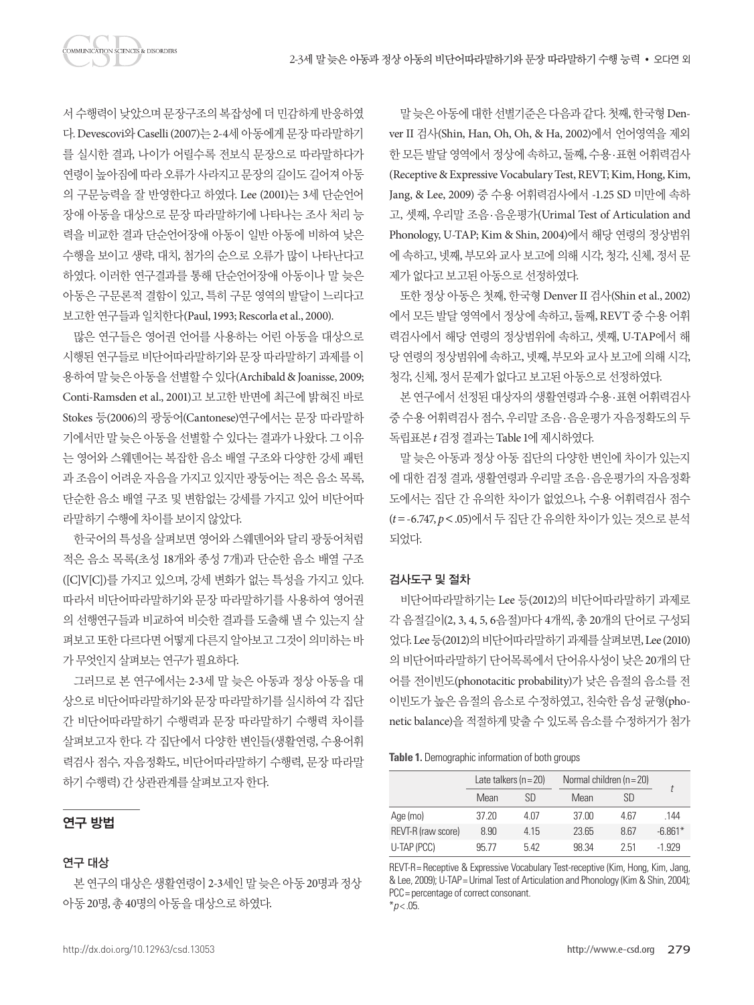서 수행력이 낮았으며 문장구조의 복잡성에 더 민감하게 반응하였 다. Devescovi와 Caselli (2007)는 2-4세아동에게문장따라말하기 를 실시한 결과, 나이가 어릴수록 전보식 문장으로 따라말하다가 연령이높아짐에따라오류가사라지고문장의길이도길어져아동 의 구문능력을 잘 반영한다고 하였다. Lee (2001)는 3세 단순언어 장애 아동을 대상으로 문장 따라말하기에 나타나는 조사 처리 능 력을 비교한 결과 단순언어장애 아동이 일반 아동에 비하여 낮은 수행을 보이고 생략, 대치, 첨가의 순으로 오류가 많이 나타난다고 하였다. 이러한 연구결과를 통해 단순언어장애 아동이나 말 늦은 아동은 구문론적 결함이 있고, 특히 구문 영역의 발달이 느리다고 보고한연구들과일치한다(Paul, 1993; Rescorla et al., 2000).

많은 연구들은 영어권 언어를 사용하는 어린 아동을 대상으로 시행된 연구들로 비단어따라말하기와 문장 따라말하기 과제를 이 용하여말늦은아동을선별할수있다(Archibald & Joanisse, 2009; Conti-Ramsden et al., 2001)고 보고한 반면에 최근에 밝혀진 바로 Stokes 등(2006)의 광둥어(Cantonese)연구에서는 문장 따라말하 기에서만 말 늦은 아동을 선별할 수 있다는 결과가 나왔다. 그 이유 는 영어와 스웨덴어는 복잡한 음소 배열 구조와 다양한 강세 패턴 과 조음이 어려운 자음을 가지고 있지만 광둥어는 적은 음소 목록, 단순한 음소 배열 구조 및 변함없는 강세를 가지고 있어 비단어따 라말하기수행에차이를보이지않았다.

한국어의 특성을 살펴보면 영어와 스웨덴어와 달리 광둥어처럼 적은 음소 목록(초성 18개와 종성 7개)과 단순한 음소 배열 구조 ([C]V[C])를 가지고 있으며, 강세 변화가 없는 특성을 가지고 있다. 따라서 비단어따라말하기와 문장 따라말하기를 사용하여 영어권 의 선행연구들과 비교하여 비슷한 결과를 도출해 낼 수 있는지 살 펴보고 또한 다르다면 어떻게 다른지 알아보고 그것이 의미하는 바 가 무엇이지 살펴보는 연구가 필요하다.

그러므로 본 연구에서는 2-3세 말 늦은 아동과 정상 아동을 대 상으로 비단어따라말하기와 문장 따라말하기를 실시하여 각 집단 간 비단어따라말하기 수행력과 문장 따라말하기 수행력 차이를 살펴보고자 한다. 각 집단에서 다양한 변인들(생활연령, 수용어휘 력검사 점수, 자음정확도, 비단어따라말하기 수행력, 문장 따라말 하기수행력) 간상관관계를살펴보고자한다.

# 연구 방법

# 연구 대상

본 연구의 대상은 생활연령이 2-3세인 말 늦은 아동 20명과 정상 아동 20명, 총 40명의아동을대상으로하였다.

말늦은아동에대한선별기준은다음과같다. 첫째, 한국형 Denver II 검사(Shin, Han, Oh, Oh, & Ha, 2002)에서 언어영역을 제외 한 모든 발달 영역에서 정상에 속하고, 둘째, 수용·표현 어휘력검사 (Receptive & Expressive Vocabulary Test, REVT; Kim, Hong, Kim, Jang, & Lee, 2009) 중 수용 어휘력검사에서 -1.25 SD 미만에 속하 고, 셋째, 우리말 조음·음운평가(Urimal Test of Articulation and Phonology, U-TAP; Kim & Shin, 2004)에서 해당 연령의 정상범위 에 속하고, 넷째, 부모와 교사 보고에 의해 시각, 청각, 신체, 정서 문 제가 없다고 보고된 아동으로 선정하였다.

또한 정상 아동은 첫째, 한국형 Denver II 검사(Shin et al., 2002) 에서 모든 발달 영역에서 정상에 속하고, 둘째, REVT 중 수용 어휘 력검사에서 해당 연령의 정상범위에 속하고, 셋째, U-TAP에서 해 당 연령의 정상범위에 속하고, 넷째, 부모와 교사 보고에 의해 시각, 청각, 신체, 정서 문제가 없다고 보고된 아동으로 선정하였다.

본 연구에서 선정된 대상자의 생활연령과 수용·표현 어휘력검사 중 수용 어휘력검사 점수, 우리말 조음·음운평가 자음정확도의 두 독립표본*t*검정결과는 Table 1에제시하였다.

말 늦은 아동과 정상 아동 집단의 다양한 변인에 차이가 있는지 에 대한 검정 결과, 생활연령과 우리말 조음·음운평가의 자음정확 도에서는 집단 간 유의한 차이가 없었으나, 수용 어휘력검사 점수 (*t*=-6.747, *p*<.05)에서두집단간유의한차이가있는것으로분석 되었다.

## 검사도구 및 절차

비단어따라말하기는 Lee 등(2012)의 비단어따라말하기 과제로 각 음절길이(2, 3, 4, 5, 6음절)마다 4개씩, 총 20개의 단어로 구성되 었다. Lee 등(2012)의비단어따라말하기과제를살펴보면, Lee (2010) 의 비단어따라말하기 단어목록에서 단어유사성이 낮은 20개의 단 어를 전이빈도(phonotacitic probability)가 낮은 음절의 음소를 전 이빈도가 높은 음절의 음소로 수정하였고, 친숙한 음성 균형(phonetic balance)을 적절하게 맞출 수 있도록 음소를 수정하거가 첨가

**Table 1.** Demographic information of both groups

|                    | Late talkers $(n=20)$ |      |       | Normal children $(n=20)$ |           |  |
|--------------------|-----------------------|------|-------|--------------------------|-----------|--|
|                    | Mean                  | SD   | Mean  | SD                       |           |  |
| Age (mo)           | 37.20                 | 4.07 | 37.00 | 467                      | .144      |  |
| REVT-R (raw score) | 8.90                  | 4.15 | 23.65 | 8.67                     | $-6.861*$ |  |
| U-TAP (PCC)        | 9577                  | 542  | 98.34 | 2.51                     | $-1.929$  |  |

REVT-R= Receptive & Expressive Vocabulary Test-receptive (Kim, Hong, Kim, Jang, & Lee, 2009); U-TAP= Urimal Test of Articulation and Phonology (Kim & Shin, 2004); PCC = percentage of correct consonant.  $*p$  < .05.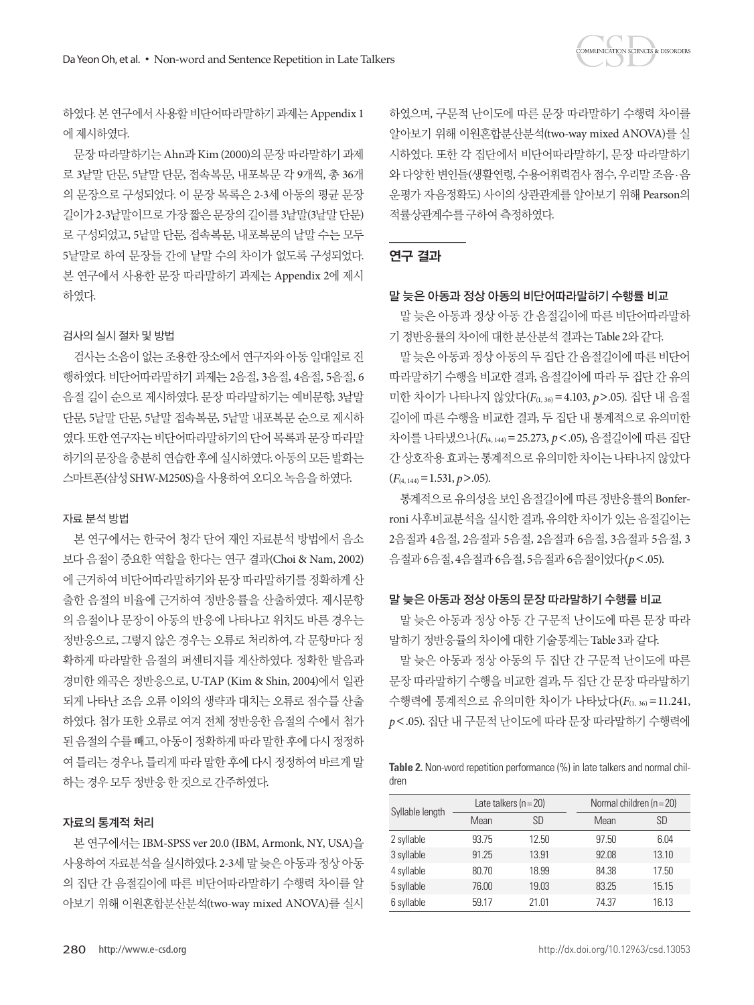

하였다. 본 연구에서 사용할 비단어따라말하기 과제는 Appendix 1 에제시하였다.

문장 따라말하기는 Ahn과 Kim (2000)의 문장 따라말하기 과제 로 3낱말 단문, 5낱말 단문, 접속복문, 내포복문 각 9개씩, 총 36개 의 문장으로 구성되었다. 이 문장 목록은 2-3세 아동의 평균 문장 길이가 2-3낱말이므로 가장 짧은 문장의 길이를 3낱말(3낱말 단문) 로 구성되었고, 5낱말 단문, 접속복문, 내포복문의 낱말 수는 모두 5낱말로 하여 문장들 간에 낱말 수의 차이가 없도록 구성되었다. 본 연구에서 사용한 문장 따라말하기 과제는 Appendix 2에 제시 하였다.

#### 검사의 실시 절차 및 방법

검사는 소음이 없는 조용한 장소에서 연구자와 아동 일대일로 진 행하였다. 비단어따라말하기 과제는 2음절, 3음절, 4음절, 5음절, 6 음절 길이 순으로 제시하였다. 문장 따라말하기는 예비문항, 3낱말 단문, 5낱말 단문, 5낱말 접속복문, 5낱말 내포복문 순으로 제시하 였다. 또한 연구자는 비단어따라말하기의 단어 목록과 문장 따라말 하기의문장을충분히연습한후에실시하였다. 아동의모든발화는 스마트폰(삼성 SHW-M250S)을 사용하여 오디오 녹음을 하였다.

#### 자료 분석 방법

본 연구에서는 한국어 청각 단어 재인 자료분석 방법에서 음소 보다 음절이 중요한 역할을 한다는 연구 결과(Choi & Nam, 2002) 에 근거하여 비단어따라말하기와 문장 따라말하기를 정확하게 산 출한 음절의 비율에 근거하여 정반응률을 산출하였다. 제시문항 의 음절이나 문장이 아동의 반응에 나타나고 위치도 바른 경우는 정반응으로, 그렇지 않은 경우는 오류로 처리하여, 각 문항마다 정 확하게 따라말한 음절의 퍼센티지를 계산하였다. 정확한 발음과 경미한 왜곡은 정반응으로, U-TAP (Kim & Shin, 2004)에서 일관 되게 나타난 조음 오류 이외의 생략과 대치는 오류로 점수를 산출 하였다. 첨가 또한 오류로 여겨 전체 정반응한 음절의 수에서 첨가 된 음절의 수를 빼고, 아동이 정확하게 따라 말한 후에 다시 정정하 여 틀리는 경우나, 틀리게 따라 말한 후에 다시 정정하여 바르게 말 하는경우모두정반응한것으로간주하였다.

#### 자료의 통계적 처리

본 연구에서는 IBM-SPSS ver 20.0 (IBM, Armonk, NY, USA)을 사용하여 자료분석을 실시하였다. 2-3세 말 늦은 아동과 정상 아동 의 집단 간 음절길이에 따른 비단어따라말하기 수행력 차이를 알 아보기 위해 이원혼합분산분석(two-way mixed ANOVA)를 실시

하였으며, 구문적 난이도에 따른 문장 따라말하기 수행력 차이를 알아보기 위해 이원혼합분산분석(two-way mixed ANOVA)를 실 시하였다. 또한 각 집단에서 비단어따라말하기, 문장 따라말하기 와 다양한 변인들(생활연령, 수용어휘력검사 점수, 우리말 조음·음 운평가 자음정확도) 사이의 상관관계를 알아보기 위해 Pearson의 적률상관계수를구하여측정하였다.

### 연구 결과

#### 말 늦은 아동과 정상 아동의 비단어따라말하기 수행률 비교

말 늦은 아동과 정상 아동 간 음절길이에 따른 비단어따라말하 기정반응률의차이에대한분산분석결과는 Table 2와같다.

말 늦은 아동과 정상 아동의 두 집단 간 음절길이에 따른 비단어 따라말하기 수행을 비교한 결과, 음절길이에 따라 두 집단 간 유의 미한 차이가 나타나지 않았다(*F*(1, 36)=4.103, *p*>.05). 집단 내 음절 길이에 따른 수행을 비교한 결과, 두 집단 내 통계적으로 유의미한 차이를 나타냈으나(*F*(4, 144)=25.273, *p*<.05), 음절길이에 따른 집단 간 상호작용 효과는 통계적으로 유의미한 차이는 나타나지 않았다  $(F_{(4, 144)} = 1.531, p > .05).$ 

통계적으로 유의성을 보인 음절길이에 따른 정반응률의 Bonferroni 사후비교분석을 실시한 결과, 유의한 차이가 있는 음절길이는 2음절과 4음절, 2음절과 5음절, 2음절과 6음절, 3음절과 5음절, 3 음절과 6음절, 4음절과 6음절, 5음절과 6음절이었다(*p*<.05).

#### 말 늦은 아동과 정상 아동의 문장 따라말하기 수행률 비교

말 늦은 아동과 정상 아동 간 구문적 난이도에 따른 문장 따라 말하기정반응률의차이에대한기술통계는 Table 3과같다.

말 늦은 아동과 정상 아동의 두 집단 간 구문적 난이도에 따른 문장 따라말하기 수행을 비교한 결과, 두 집단 간 문장 따라말하기 수행력에 통계적으로 유의미한 차이가 나타났다(F(1, 36) = 11.241, *p*<.05). 집단 내 구문적 난이도에 따라 문장 따라말하기 수행력에

**Table 2.** Non-word repetition performance (%) in late talkers and normal children

| Syllable length |       | Late talkers $(n=20)$ |            | Normal children ( $n = 20$ ) |
|-----------------|-------|-----------------------|------------|------------------------------|
|                 | Mean  | SD                    | SD<br>Mean |                              |
| 2 syllable      | 93.75 | 12.50                 | 97.50      | 6.04                         |
| 3 syllable      | 91.25 | 13.91                 | 92.08      | 13.10                        |
| 4 syllable      | 80.70 | 18.99                 | 84.38      | 17.50                        |
| 5 syllable      | 76.00 | 19.03                 | 83.25      | 15.15                        |
| 6 syllable      | 59.17 | 21.01                 | 74.37      | 16.13                        |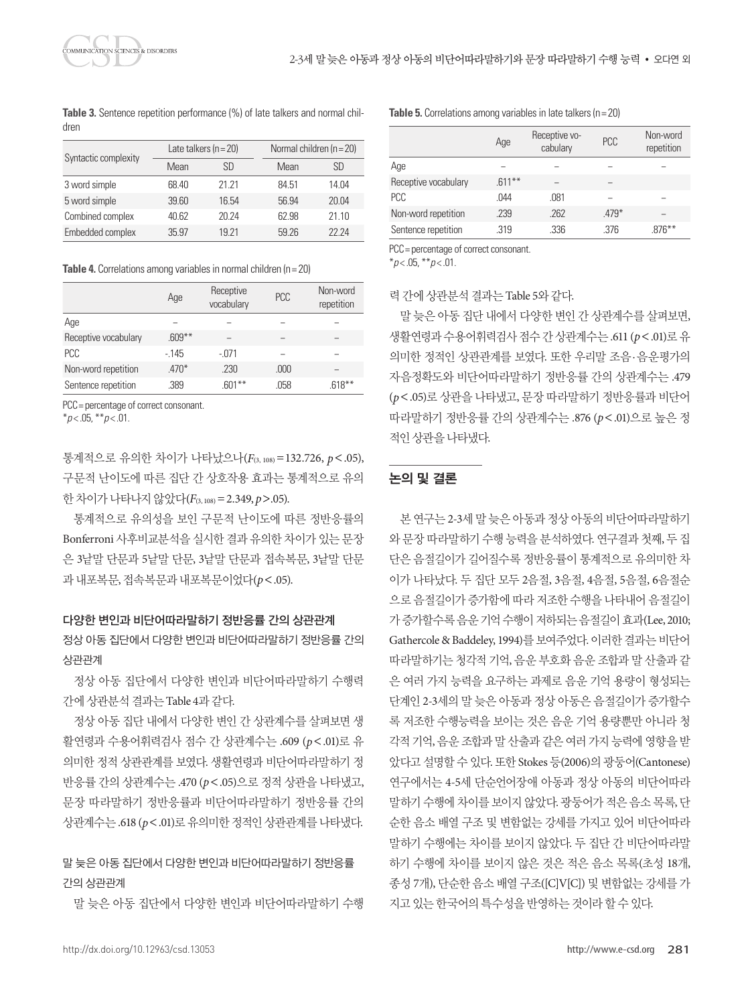

**Table 3.** Sentence repetition performance (%) of late talkers and normal children

|                      |       | Late talkers $(n=20)$ | Normal children ( $n = 20$ ) |       |
|----------------------|-------|-----------------------|------------------------------|-------|
| Syntactic complexity | Mean  | SD                    | Mean                         | SD    |
| 3 word simple        | 68.40 | 21 21                 | 84.51                        | 14 04 |
| 5 word simple        | 39.60 | 16.54                 | 56.94                        | 20.04 |
| Combined complex     | 40.62 | 20 24                 | 62.98                        | 21 10 |
| Embedded complex     | 35.97 | 19 21                 | 59.26                        | 22 24 |

**Table 4.** Correlations among variables in normal children (n = 20)

|                      | Age      | Receptive<br>vocabulary | <b>PCC</b> | Non-word<br>repetition |
|----------------------|----------|-------------------------|------------|------------------------|
| Age                  |          |                         |            |                        |
| Receptive vocabulary | $.609**$ |                         |            |                        |
| <b>PCC</b>           | $-145$   | $-.071$                 |            |                        |
| Non-word repetition  | $.470*$  | .230                    | .000       |                        |
| Sentence repetition  | .389     | $.601***$               | .058       | $618***$               |

PCC = percentage of correct consonant.

\**p* < .05, \*\**p* < .01.

통계적으로 유의한 차이가 나타났으나(*F*(3, 108) =132.726, *p*<.05), 구문적 난이도에 따른 집단 간 상호작용 효과는 통계적으로 유의 한 차이가 나타나지 않았다( $F_{(3, 108)} = 2.349$ ,  $p > .05$ ).

통계적으로 유의성을 보인 구문적 난이도에 따른 정반응률의 Bonferroni 사후비교분석을 실시한 결과 유의한 차이가 있는 문장 은 3낱말 단문과 5낱말 단문, 3낱말 단문과 접속복문, 3낱말 단문 과내포복문, 접속복문과내포복문이었다(*p*<.05).

## 다양한 변인과 비단어따라말하기 정반응률 간의 상관관계

정상 아동 집단에서 다양한 변인과 비단어따라말하기 정반응률 간의 상관관계

정상 아동 집단에서 다양한 변인과 비단어따라말하기 수행력 간에상관분석결과는 Table 4과같다.

정상 아동 집단 내에서 다양한 변인 간 상관계수를 살펴보면 생 활연령과 수용어휘력검사 점수 간 상관계수는 .609 (*p*<.01)로 유 의미한 정적 상관관계를 보였다. 생활연령과 비단어따라말하기 정 반응률 간의 상관계수는 .470 (*p*<.05)으로 정적 상관을 나타냈고, 문장 따라말하기 정반응률과 비단어따라말하기 정반응률 간의 상관계수는 .618 (*p*<.01)로유의미한정적인상관관계를나타냈다.

# 말 늦은 아동 집단에서 다양한 변인과 비단어따라말하기 정반응률 간의 상관관계

말 늦은 아동 집단에서 다양한 변인과 비단어따라말하기 수행

**Table 5.** Correlations among variables in late talkers (n=20)

|                      | Age       | Receptive vo-<br>cabulary | <b>PCC</b> | Non-word<br>repetition |
|----------------------|-----------|---------------------------|------------|------------------------|
| Age                  |           |                           |            |                        |
| Receptive vocabulary | $.611***$ |                           |            |                        |
| <b>PCC</b>           | .044      | .081                      |            |                        |
| Non-word repetition  | .239      | .262                      | $.479*$    |                        |
| Sentence repetition  | .319      | .336                      | .376       | $.876***$              |

PCC = percentage of correct consonant.

\**p* < .05, \*\**p* < .01.

력간에상관분석결과는 Table 5와같다.

말 늦은 아동 집단 내에서 다양한 변인 간 상관계수를 살펴보면, 생활연령과수용어휘력검사점수간상관계수는 .611 (*p*<.01)로유 의미한 정적인 상관관계를 보였다. 또한 우리말 조음·음운평가의 자음정확도와 비단어따라말하기 정반응률 간의 상관계수는 .479 (*p*<.05)로 상관을 나타냈고, 문장 따라말하기 정반응률과 비단어 따라말하기 정반응률 간의 상관계수는 .876 (*p*<.01)으로 높은 정 적인상관을나타냈다.

# 논의 및 결론

본 연구는 2-3세 말 늦은 아동과 정상 아동의 비단어따라말하기 와 문장 따라말하기 수행 능력을 분석하였다. 연구결과 첫째, 두 집 단은 음절길이가 길어질수록 정반응률이 통계적으로 유의미한 차 이가 나타났다. 두 집단 모두 2음절, 3음절, 4음절, 5음절, 6음절순 으로 음절길이가 증가함에 따라 저조한 수행을 나타내어 음절길이 가증가할수록음운기억수행이저하되는음절길이효과(Lee, 2010; Gathercole & Baddeley, 1994)를보여주었다. 이러한결과는비단어 따라말하기는 청각적 기억, 음운 부호화 음운 조합과 말 산출과 같 은 여러 가지 능력을 요구하는 과제로 음운 기억 용량이 형성되는 단계인 2-3세의 말 늦은 아동과 정상 아동은 음절길이가 증가할수 록 저조한 수행능력을 보이는 것은 음운 기억 용량뿐만 아니라 청 각적 기억, 음운 조합과 말 산출과 같은 여러 가지 능력에 영향을 받 았다고 설명할 수 있다. 또한 Stokes 등(2006)의 광둥어(Cantonese) 연구에서는 4-5세 단순언어장애 아동과 정상 아동의 비단어따라 말하기 수행에 차이를 보이지 않았다. 광둥어가 적은 음소 목록, 단 순한 음소 배열 구조 및 변함없는 강세를 가지고 있어 비단어따라 말하기 수행에는 차이를 보이지 않았다. 두 집단 간 비단어따라말 하기 수행에 차이를 보이지 않은 것은 적은 음소 목록(초성 18개, 종성 7개), 단순한 음소 배열 구조([C]V[C]) 및 변함없는 강세를 가 지고있는한국어의특수성을반영하는것이라할수있다.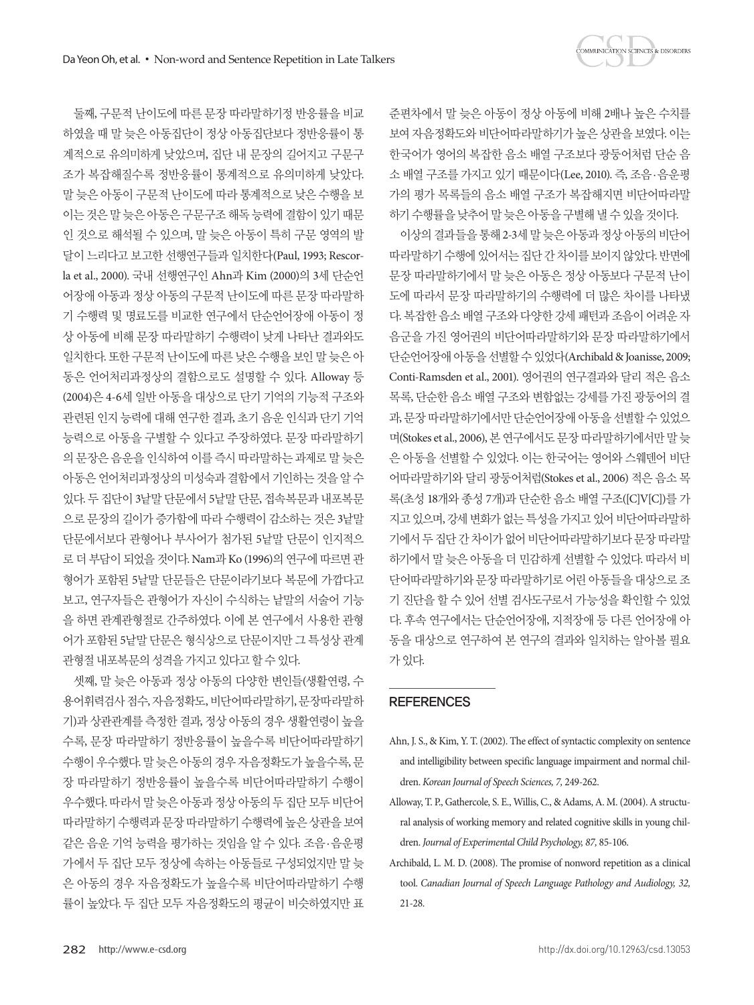준편차에서 말 늦은 아동이 정상 아동에 비해 2배나 높은 수치를 보여 자음정확도와 비단어따라말하기가 높은 상관을 보였다. 이는 한국어가 영어의 복잡한 음소 배열 구조보다 광둥어처럼 단순 음 소 배열 구조를 가지고 있기 때문이다(Lee, 2010). 즉, 조음·음운평 가의 평가 목록들의 음소 배열 구조가 복잡해지면 비단어따라말 하기수행률을낮추어말늦은아동을구별해낼수있을것이다.

**COMMUNICATION SCIENCES & DISORDERS** 

이상의결과들을통해 2-3세말늦은아동과정상아동의비단어 따라말하기수행에있어서는집단간차이를보이지않았다. 반면에 문장 따라말하기에서 말 늦은 아동은 정상 아동보다 구문적 난이 도에 따라서 문장 따라말하기의 수행력에 더 많은 차이를 나타냈 다. 복잡한 음소 배열 구조와 다양한 강세 패턴과 조음이 어려운 자 음군을 가진 영어권의 비단어따라말하기와 문장 따라말하기에서 단순언어장애아동을선별할수있었다(Archibald & Joanisse, 2009; Conti-Ramsden et al., 2001). 영어권의 연구결과와 달리 적은 음소 목록, 단순한 음소 배열 구조와 변함없는 강세를 가진 광둥어의 결 과, 문장 따라말하기에서만 다수어어장애 아동을 선별할 수 있었으 며(Stokes et al., 2006), 본 연구에서도 문장 따라말하기에서만 말 늦 은 아동을 선별할 수 있었다. 이는 한국어는 영어와 스웨덴어 비단 어따라말하기와 달리 광둥어처럼(Stokes et al., 2006) 적은 음소 목 록(초성 18개와 종성 7개)과 단순한 음소 배열 구조([C]V[C])를 가 지고 있으며, 강세 변화가 없는 특성을 가지고 있어 비단어따라말하 기에서 두 집단 간 차이가 없어 비단어따라말하기보다 문장 따라말 하기에서 말 늦은 아동을 더 민감하게 선별할 수 있었다. 따라서 비 단어따라말하기와 문장 따라말하기로 어린 아동들을 대상으로 조 기 진단을 할 수 있어 선별 검사도구로서 가능성을 확인할 수 있었 다. 후속 연구에서는 단순언어장애, 지적장애 등 다른 언어장애 아 동을 대상으로 연구하여 본 연구의 결과와 일치하는 알아볼 필요 가있다.

### **REFERENCES**

- Ahn, J. S., & Kim, Y. T. (2002). The effect of syntactic complexity on sentence and intelligibility between specific language impairment and normal children. *Korean Journal of Speech Sciences, 7,* 249-262.
- Alloway, T. P., Gathercole, S. E., Willis, C., & Adams, A. M. (2004). A structural analysis of working memory and related cognitive skills in young children. *Journal of Experimental Child Psychology, 87,* 85-106.
- Archibald, L. M. D. (2008). The promise of nonword repetition as a clinical tool. *Canadian Journal of Speech Language Pathology and Audiology, 32,* 21-28.

둘째, 구문적 난이도에 따른 문장 따라말하기정 반응률을 비교 하였을 때 말 늦은 아동집단이 정상 아동집단보다 정반응률이 통 계적으로 유의미하게 낮았으며, 집단 내 문장의 길어지고 구문구 조가 복잡해질수록 정반응률이 통계적으로 유의미하게 낮았다. 말 늦은 아동이 구문적 난이도에 따라 통계적으로 낮은 수행을 보 이는 것은 말 늦은 아동은 구문구조 해독 능력에 결함이 있기 때문 인 것으로 해석될 수 있으며, 말 늦은 아동이 특히 구문 영역의 발 달이 느리다고 보고한 선행연구들과 일치한다(Paul, 1993; Rescorla et al., 2000). 국내 선행연구인 Ahn과 Kim (2000)의 3세 단순언 어장애 아동과 정상 아동의 구문적 난이도에 따른 문장 따라말하 기 수행력 및 명료도를 비교한 연구에서 단순언어장애 아동이 정 상 아동에 비해 문장 따라말하기 수행력이 낮게 나타난 결과와도 일치한다. 또한 구문적 난이도에 따른 낮은 수행을 보인 말 늦은 아 동은 언어처리과정상의 결함으로도 설명할 수 있다. Alloway 등 (2004)은 4-6세 일반 아동을 대상으로 단기 기억의 기능적 구조와 관련된 인지 능력에 대해 연구한 결과, 초기 음운 인식과 단기 기억 능력으로 아동을 구별할 수 있다고 주장하였다. 문장 따라말하기 의 문장은 음운을 인식하여 이를 즉시 따라말하는 과제로 말 늦은 아동은 언어처리과정상의 미성숙과 결함에서 기인하는 것을 알 수 있다. 두 집단이 3낱말 단문에서 5낱말 단문, 접속복문과 내포복문 으로 문장의 길이가 증가함에 따라 수행력이 감소하는 것은 3낱말 단문에서보다 관형어나 부사어가 첨가된 5낱말 단문이 인지적으 로 더 부담이 되었을 것이다. Nam과 Ko (1996)의 연구에 따르면 관 형어가 포함된 5낱말 단문들은 단문이라기보다 복문에 가깝다고 보고, 연구자들은 관형어가 자신이 수식하는 낱말의 서술어 기능 을 하면 관계관형절로 간주하였다. 이에 본 연구에서 사용한 관형 어가 포함된 5낱말 단문은 형식상으로 단문이지만 그 특성상 관계 관형절 내포복문의 성격을 가지고 있다고 할 수 있다.

셋째, 말 늦은 아동과 정상 아동의 다양한 변인들(생활연령, 수 용어휘력검사 점수, 자음정확도, 비단어따라말하기, 문장따라말하 기)과 상관관계를 측정한 결과, 정상 아동의 경우 생활연령이 높을 수록, 문장 따라말하기 정반응률이 높을수록 비단어따라말하기 수행이 우수했다. 말 늦은 아동의 경우 자음정확도가 높을수록, 문 장 따라말하기 정반응률이 높을수록 비단어따라말하기 수행이 우수했다. 따라서 말 늦은 아동과 정상 아동의 두 집단 모두 비단어 따라말하기수행력과문장따라말하기수행력에높은상관을보여 같은 음운 기억 능력을 평가하는 것임을 알 수 있다. 조음·음운평 가에서 두 집단 모두 정상에 속하는 아동들로 구성되었지만 말 늦 은 아동의 경우 자음정확도가 높을수록 비단어따라말하기 수행 률이 높았다. 두 집단 모두 자음정확도의 평균이 비슷하였지만 표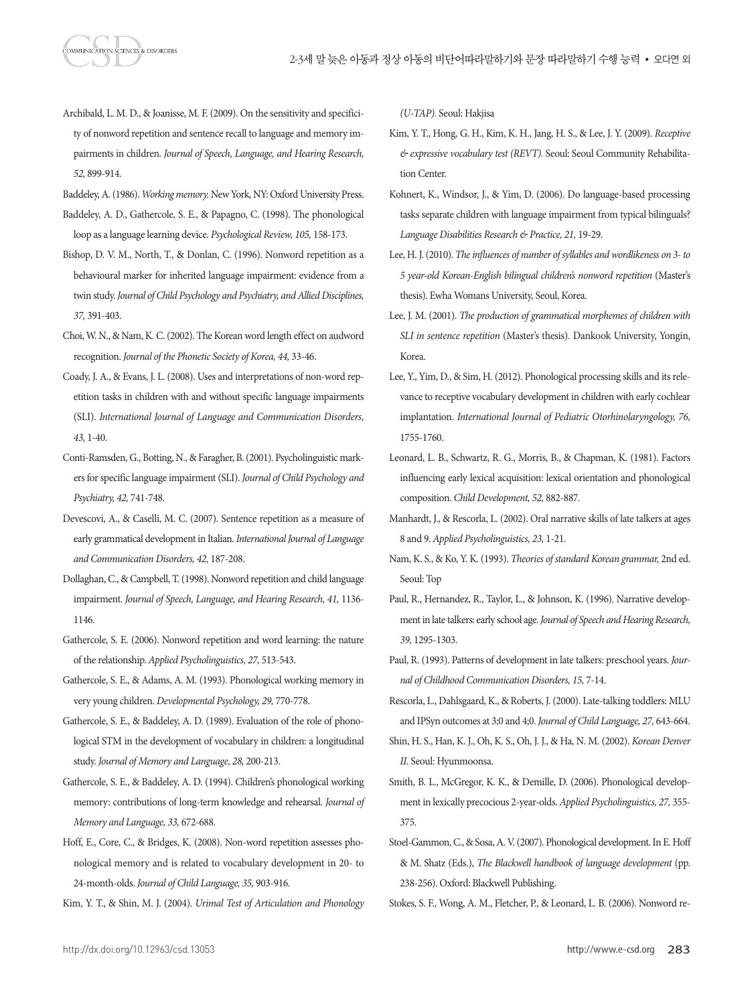- Archibald, L. M. D., & Joanisse, M. F. (2009). On the sensitivity and specificity of nonword repetition and sentence recall to language and memory impairments in children. *Journal of Speech, Language, and Hearing Research, 52,* 899-914.
- Baddeley, A. (1986). *Working memory.* New York, NY: Oxford University Press.
- Baddeley, A. D., Gathercole, S. E., & Papagno, C. (1998). The phonological loop as a language learning device. *Psychological Review, 105,* 158-173.
- Bishop, D. V. M., North, T., & Donlan, C. (1996). Nonword repetition as a behavioural marker for inherited language impairment: evidence from a twin study. *Journal of Child Psychology and Psychiatry, and Allied Disciplines, 37,* 391-403.
- Choi, W. N., & Nam, K. C. (2002). The Korean word length effect on audword recognition. *Journal of the Phonetic Society of Korea, 44,* 33-46.
- Coady, J. A., & Evans, J. L. (2008). Uses and interpretations of non-word repetition tasks in children with and without specific language impairments (SLI). *International Journal of Language and Communication Disorders, 43,* 1-40.
- Conti-Ramsden, G., Botting, N., & Faragher, B. (2001). Psycholinguistic markers for specific language impairment (SLI). *Journal of Child Psychology and Psychiatry, 42,* 741-748.
- Devescovi, A., & Caselli, M. C. (2007). Sentence repetition as a measure of early grammatical development in Italian. *International Journal of Language and Communication Disorders, 42,* 187-208.
- Dollaghan, C., & Campbell, T. (1998). Nonword repetition and child language impairment. *Journal of Speech, Language, and Hearing Research, 41,* 1136- 1146.
- Gathercole, S. E. (2006). Nonword repetition and word learning: the nature of the relationship. *Applied Psycholinguistics, 27,* 513-543.
- Gathercole, S. E., & Adams, A. M. (1993). Phonological working memory in very young children. *Developmental Psychology, 29,* 770-778.
- Gathercole, S. E., & Baddeley, A. D. (1989). Evaluation of the role of phonological STM in the development of vocabulary in children: a longitudinal study. *Journal of Memory and Language, 28,* 200-213.
- Gathercole, S. E., & Baddeley, A. D. (1994). Children's phonological working memory: contributions of long-term knowledge and rehearsal. *Journal of Memory and Language, 33,* 672-688.
- Hoff, E., Core, C., & Bridges, K. (2008). Non-word repetition assesses phonological memory and is related to vocabulary development in 20- to 24-month-olds. *Journal of Child Language, 35,* 903-916.
- Kim, Y. T., & Shin, M. J. (2004). *Urimal Test of Articulation and Phonology*

*(U-TAP).* Seoul: Hakjisa

- Kim, Y. T., Hong, G. H., Kim, K. H., Jang, H. S., & Lee, J. Y. (2009). *Receptive & expressive vocabulary test (REVT).* Seoul: Seoul Community Rehabilitation Center.
- Kohnert, K., Windsor, J., & Yim, D. (2006). Do language-based processing tasks separate children with language impairment from typical bilinguals? *Language Disabilities Research & Practice, 21,* 19-29.
- Lee, H. J. (2010). *The influences of number of syllables and wordlikeness on 3- to 5 year-old Korean-English bilingual children's nonword repetition* (Master's thesis). Ewha Womans University, Seoul, Korea.
- Lee, J. M. (2001). *The production of grammatical morphemes of children with SLI in sentence repetition* (Master's thesis). Dankook University, Yongin, Korea.
- Lee, Y., Yim, D., & Sim, H. (2012). Phonological processing skills and its relevance to receptive vocabulary development in children with early cochlear implantation. *International Journal of Pediatric Otorhinolaryngology, 76,*  1755-1760.
- Leonard, L. B., Schwartz, R. G., Morris, B., & Chapman, K. (1981). Factors influencing early lexical acquisition: lexical orientation and phonological composition. *Child Development, 52,* 882-887.
- Manhardt, J., & Rescorla, L. (2002). Oral narrative skills of late talkers at ages 8 and 9. *Applied Psycholinguistics, 23,* 1-21.
- Nam, K. S., & Ko, Y. K. (1993). *Theories of standard Korean grammar,* 2nd ed. Seoul: Top
- Paul, R., Hernandez, R., Taylor, L., & Johnson, K. (1996). Narrative development in late talkers: early school age. *Journal of Speech and Hearing Research, 39,* 1295-1303.
- Paul, R. (1993). Patterns of development in late talkers: preschool years. *Journal of Childhood Communication Disorders, 15,* 7-14.
- Rescorla, L., Dahlsgaard, K., & Roberts, J. (2000). Late-talking toddlers: MLU and IPSyn outcomes at 3;0 and 4;0. *Journal of Child Language, 27,* 643-664.
- Shin, H. S., Han, K. J., Oh, K. S., Oh, J. J., & Ha, N. M. (2002). *Korean Denver II.* Seoul: Hyunmoonsa.
- Smith, B. L., McGregor, K. K., & Demille, D. (2006). Phonological development in lexically precocious 2-year-olds. *Applied Psycholinguistics, 27,* 355- 375.
- Stoel-Gammon, C., & Sosa, A. V. (2007). Phonological development. In E. Hoff & M. Shatz (Eds.), *The Blackwell handbook of language development* (pp. 238-256). Oxford: Blackwell Publishing.

Stokes, S. F., Wong, A. M., Fletcher, P., & Leonard, L. B. (2006). Nonword re-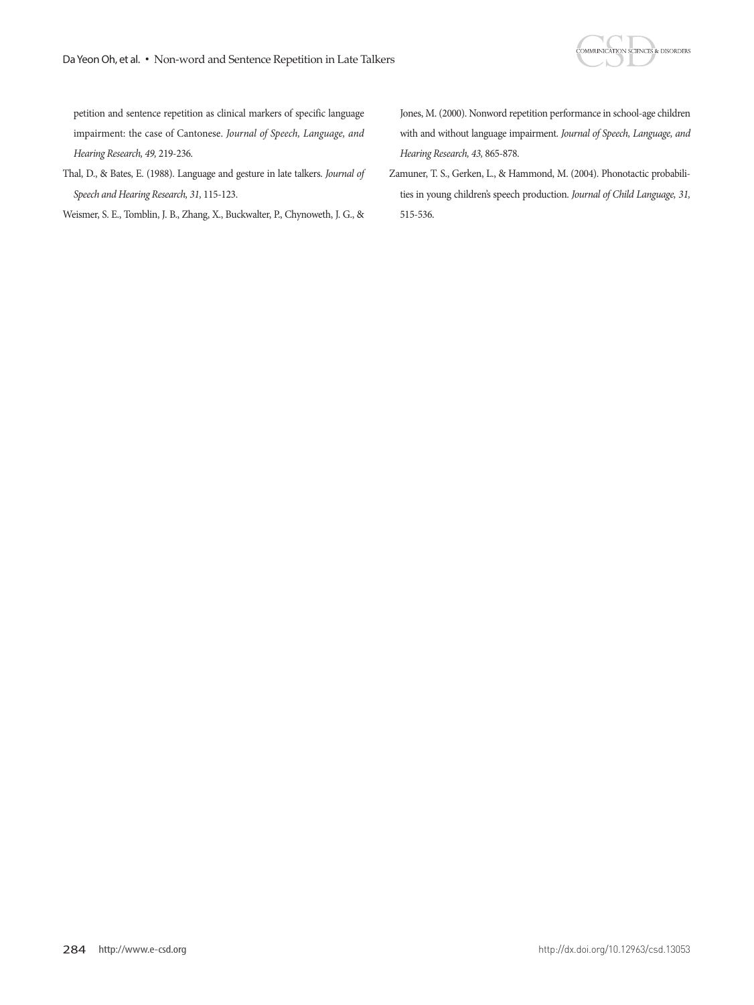

petition and sentence repetition as clinical markers of specific language impairment: the case of Cantonese. *Journal of Speech, Language, and Hearing Research, 49,* 219-236.

Thal, D., & Bates, E. (1988). Language and gesture in late talkers. *Journal of Speech and Hearing Research, 31,* 115-123.

Weismer, S. E., Tomblin, J. B., Zhang, X., Buckwalter, P., Chynoweth, J. G., &

Jones, M. (2000). Nonword repetition performance in school-age children with and without language impairment. *Journal of Speech, Language, and Hearing Research, 43,* 865-878.

Zamuner, T. S., Gerken, L., & Hammond, M. (2004). Phonotactic probabilities in young children's speech production. *Journal of Child Language, 31,* 515-536.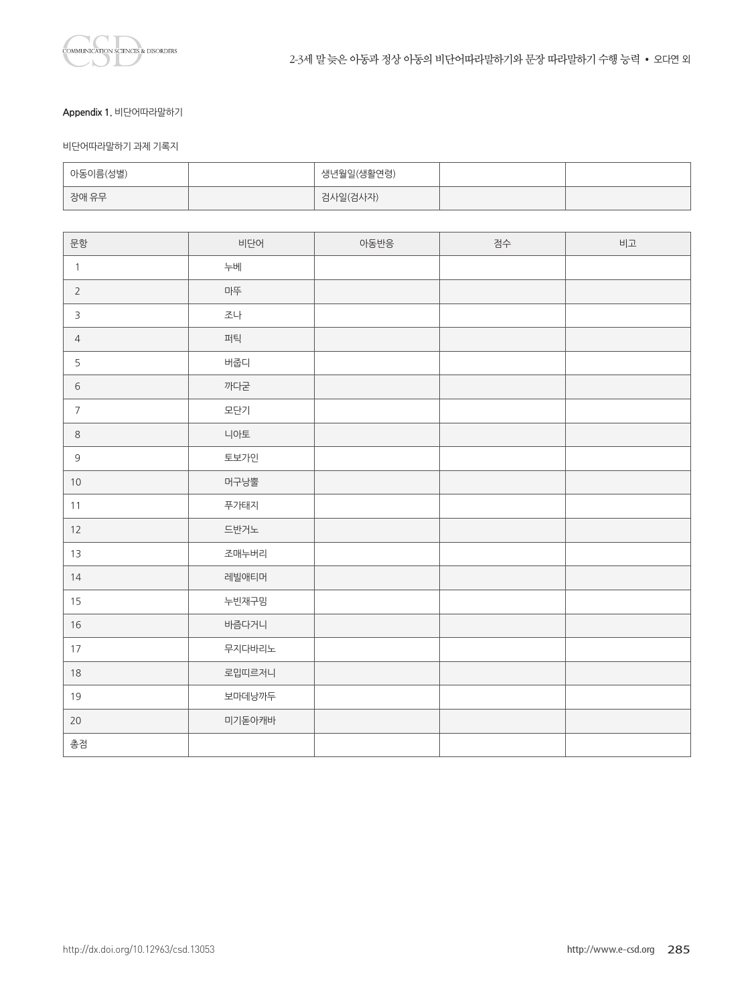

#### **Appendix 1.** 비단어따라말하기

비단어따라말하기 과제 기록지

| 아동이름(성별) | 생년월일(생활연령) |  |
|----------|------------|--|
| 장애 유무    | 검사일(검사자)   |  |

| 문항             | 비단어    | 아동반응 | 점수 | 비고 |
|----------------|--------|------|----|----|
| $\mathbf{1}$   | 누베     |      |    |    |
| $\overline{2}$ | 마뚜     |      |    |    |
| $\mathsf{3}$   | 조나     |      |    |    |
| $\overline{4}$ | 퍼틱     |      |    |    |
| 5              | 버줍디    |      |    |    |
| $\,$ 6 $\,$    | 까다굳    |      |    |    |
| $\overline{7}$ | 모단기    |      |    |    |
| $\,8\,$        | 니아토    |      |    |    |
| $\mathsf 9$    | 토보가인   |      |    |    |
| $10$           | 머구낭뿔   |      |    |    |
| 11             | 푸가태지   |      |    |    |
| $12\,$         | 드반거노   |      |    |    |
| 13             | 조매누버리  |      |    |    |
| 14             | 레빌애티머  |      |    |    |
| 15             | 누빈재구밈  |      |    |    |
| 16             | 바즘다거니  |      |    |    |
| $17\,$         | 무지다바리노 |      |    |    |
| 18             | 로밉띠르저니 |      |    |    |
| $19$           | 보마데낭까두 |      |    |    |
| 20             | 미기돋아캐바 |      |    |    |
| 총점             |        |      |    |    |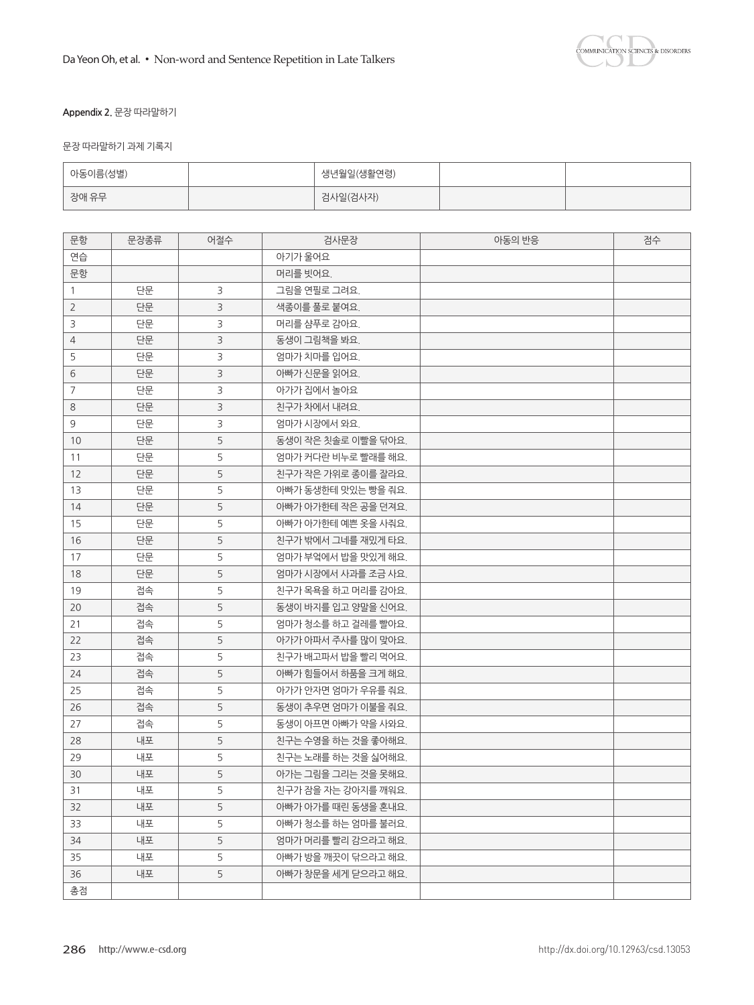

## **Appendix 2.** 문장 따라말하기

# 문장 따라말하기 과제 기록지

| 아동이름(성별) | 생년월일(생활연령) |  |
|----------|------------|--|
| 장애 유무    | 검사일(검사자)   |  |

| 문항             | 문장종류 | 어절수 | 검사문장                | 아동의 반응 | 점수 |
|----------------|------|-----|---------------------|--------|----|
| 연습             |      |     | 아기가 울어요             |        |    |
| 문항             |      |     | 머리를 빗어요.            |        |    |
| $\mathbf{1}$   | 단문   | 3   | 그림을 연필로 그려요.        |        |    |
| $\overline{2}$ | 단문   | 3   | 색종이를 풀로 붙여요.        |        |    |
| 3              | 단문   | 3   | 머리를 샴푸로 감아요.        |        |    |
| 4              | 단문   | 3   | 동생이 그림책을 봐요.        |        |    |
| 5              | 단문   | 3   | 엄마가 치마를 입어요.        |        |    |
| 6              | 단문   | 3   | 아빠가 신문을 읽어요.        |        |    |
| 7              | 단문   | 3   | 아가가 집에서 놀아요         |        |    |
| 8              | 단문   | 3   | 친구가 차에서 내려요.        |        |    |
| 9              | 단문   | 3   | 엄마가 시장에서 와요.        |        |    |
| 10             | 단문   | 5   | 동생이 작은 칫솔로 이빨을 닦아요. |        |    |
| 11             | 단문   | 5   | 엄마가 커다란 비누로 빨래를 해요. |        |    |
| 12             | 단문   | 5   | 친구가 작은 가위로 종이를 잘라요. |        |    |
| 13             | 단문   | 5   | 아빠가 동생한테 맛있는 빵을 줘요. |        |    |
| 14             | 단문   | 5   | 아빠가 아가한테 작은 공을 던져요. |        |    |
| 15             | 단문   | 5   | 아빠가 아가한테 예쁜 옷을 사줘요. |        |    |
| 16             | 단문   | 5   | 친구가 밖에서 그네를 재밌게 타요. |        |    |
| 17             | 단문   | 5   | 엄마가 부엌에서 밥을 맛있게 해요. |        |    |
| 18             | 단문   | 5   | 엄마가 시장에서 사과를 조금 사요. |        |    |
| 19             | 접속   | 5   | 친구가 목욕을 하고 머리를 감아요. |        |    |
| 20             | 접속   | 5   | 동생이 바지를 입고 양말을 신어요. |        |    |
| 21             | 접속   | 5   | 엄마가 청소를 하고 걸레를 빨아요. |        |    |
| 22             | 접속   | 5   | 아가가 아파서 주사를 많이 맞아요. |        |    |
| 23             | 접속   | 5   | 친구가 배고파서 밥을 빨리 먹어요. |        |    |
| 24             | 접속   | 5   | 아빠가 힘들어서 하품을 크게 해요. |        |    |
| 25             | 접속   | 5   | 아가가 안자면 엄마가 우유를 줘요. |        |    |
| 26             | 접속   | 5   | 동생이 추우면 엄마가 이불을 줘요. |        |    |
| 27             | 접속   | 5   | 동생이 아프면 아빠가 약을 사와요. |        |    |
| 28             | 내포   | 5   | 친구는 수영을 하는 것을 좋아해요. |        |    |
| 29             | 내포   | 5   | 친구는 노래를 하는 것을 싫어해요. |        |    |
| 30             | 내포   | 5   | 아가는 그림을 그리는 것을 못해요. |        |    |
| 31             | 내포   | 5   | 친구가 잠을 자는 강아지를 깨워요. |        |    |
| 32             | 내포   | 5   | 아빠가 아가를 때린 동생을 혼내요. |        |    |
| 33             | 내포   | 5   | 아빠가 청소를 하는 엄마를 불러요. |        |    |
| 34             | 내포   | 5   | 엄마가 머리를 빨리 감으라고 해요. |        |    |
| 35             | 내포   | 5   | 아빠가 방을 깨끗이 닦으라고 해요. |        |    |
| 36             | 내포   | 5   | 아빠가 창문을 세게 닫으라고 해요. |        |    |
| 총점             |      |     |                     |        |    |